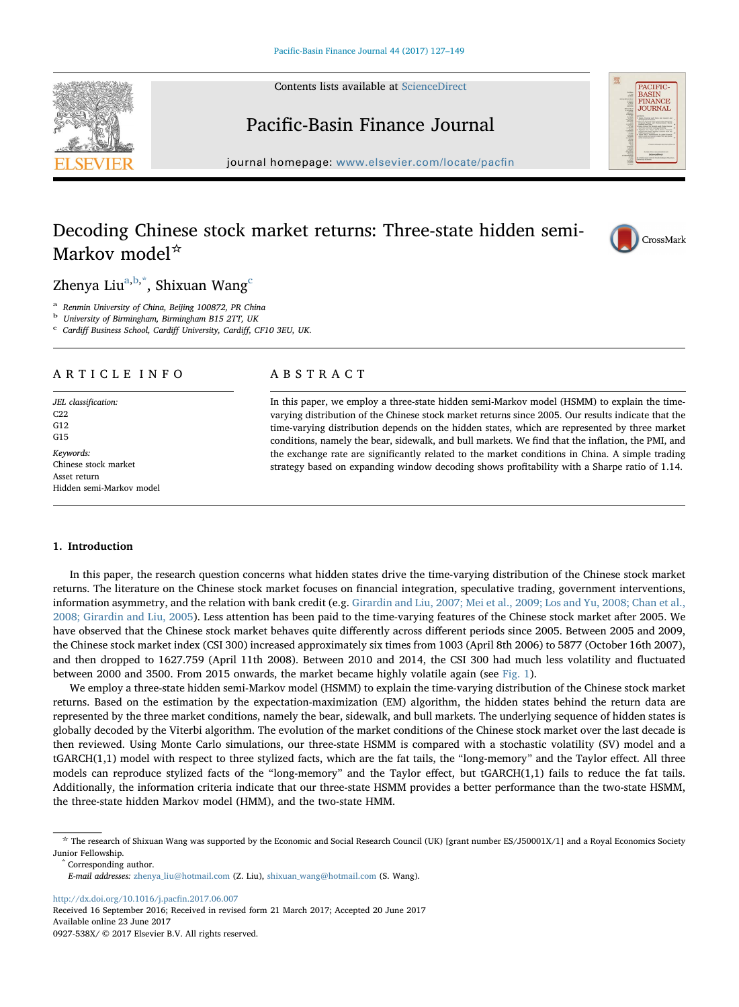Contents lists available at [ScienceDirect](http://www.sciencedirect.com/science/journal/0927538X)





## Pacific-Basin Finance Journal

journal homepage: [www.elsevier.com/locate/pac](http://www.elsevier.com/locate/pacfin)fin

## Decoding Chinese stock market returns: Three-state hidden semi-Markov model☆



Zhenya Liu<sup>a,b,\*</sup>, Shixuan Wang<sup>c</sup>

<sup>a</sup> Renmin University of China, Beijing 100872, PR China<br><sup>b</sup> University of Birmingham, Birmingham B15 2TT, UK<br><sup>c</sup> Cardiff Business School, Cardiff University, Cardiff, CF10 3EU, UK.

### ARTICLE INFO

JEL classification: C<sub>22</sub> G12  $G15$ Keywords: Chinese stock market Asset return Hidden semi-Markov model

#### ABSTRACT

In this paper, we employ a three-state hidden semi-Markov model (HSMM) to explain the timevarying distribution of the Chinese stock market returns since 2005. Our results indicate that the time-varying distribution depends on the hidden states, which are represented by three market conditions, namely the bear, sidewalk, and bull markets. We find that the inflation, the PMI, and the exchange rate are significantly related to the market conditions in China. A simple trading strategy based on expanding window decoding shows profitability with a Sharpe ratio of 1.14.

#### 1. Introduction

In this paper, the research question concerns what hidden states drive the time-varying distribution of the Chinese stock market returns. The literature on the Chinese stock market focuses on financial integration, speculative trading, government interventions, information asymmetry, and the relation with bank credit (e.g. Girardin and Liu, 2007; Mei et al., 2009; Los and Yu, 2008; Chan et al., 2008; Girardin and Liu, 2005). Less attention has been paid to the time-varying features of the Chinese stock market after 2005. We have observed that the Chinese stock market behaves quite differently across different periods since 2005. Between 2005 and 2009, the Chinese stock market index (CSI 300) increased approximately six times from 1003 (April 8th 2006) to 5877 (October 16th 2007), and then dropped to 1627.759 (April 11th 2008). Between 2010 and 2014, the CSI 300 had much less volatility and fluctuated between 2000 and 3500. From 2015 onwards, the market became highly volatile again (see Fig. 1).

We employ a three-state hidden semi-Markov model (HSMM) to explain the time-varying distribution of the Chinese stock market returns. Based on the estimation by the expectation-maximization (EM) algorithm, the hidden states behind the return data are represented by the three market conditions, namely the bear, sidewalk, and bull markets. The underlying sequence of hidden states is globally decoded by the Viterbi algorithm. The evolution of the market conditions of the Chinese stock market over the last decade is then reviewed. Using Monte Carlo simulations, our three-state HSMM is compared with a stochastic volatility (SV) model and a tGARCH(1,1) model with respect to three stylized facts, which are the fat tails, the "long-memory" and the Taylor effect. All three models can reproduce stylized facts of the "long-memory" and the Taylor effect, but tGARCH(1,1) fails to reduce the fat tails. Additionally, the information criteria indicate that our three-state HSMM provides a better performance than the two-state HSMM, the three-state hidden Markov model (HMM), and the two-state HMM.

E-mail addresses: [zhenya\\_liu@hotmail.com](mailto:zhenya_liu@hotmail.com) (Z. Liu), [shixuan\\_wang@hotmail.com](mailto:shixuan_wang@hotmail.com) (S. Wang).

[http://dx.doi.org/10.1016/j.pac](http://dx.doi.org/10.1016/j.pacfin.2017.06.007)fin.2017.06.007

Received 16 September 2016; Received in revised form 21 March 2017; Accepted 20 June 2017 Available online 23 June 2017 0927-538X/ © 2017 Elsevier B.V. All rights reserved.

<sup>☆</sup> The research of Shixuan Wang was supported by the Economic and Social Research Council (UK) [grant number ES/J50001X/1] and a Royal Economics Society Junior Fellowship.<br>
\* Corresponding author.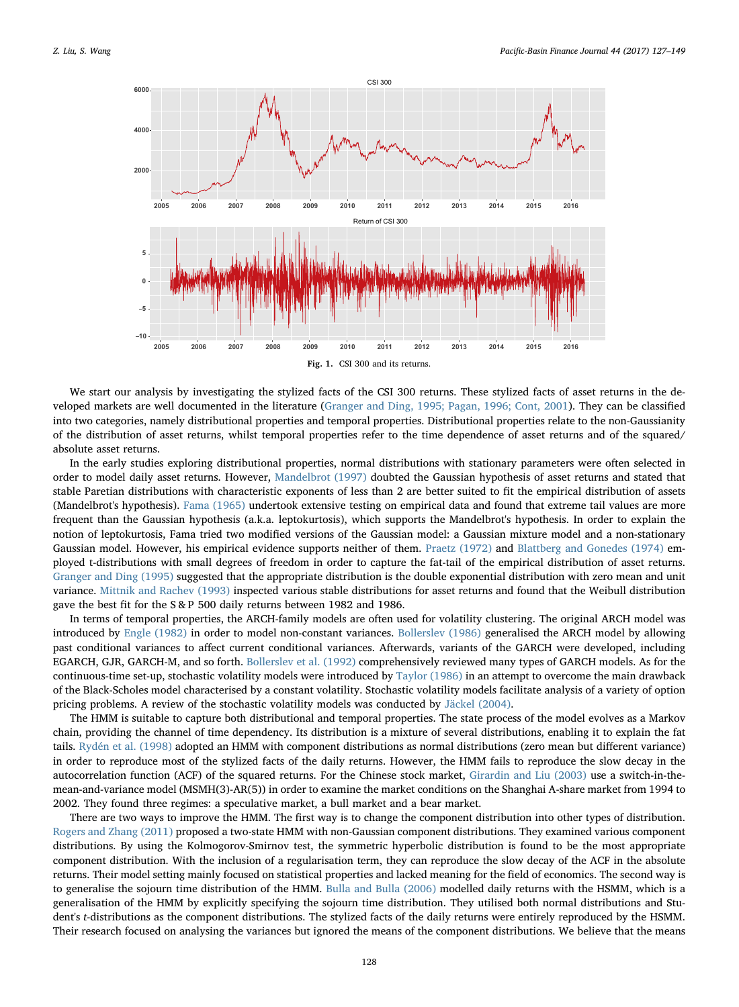

We start our analysis by investigating the stylized facts of the CSI 300 returns. These stylized facts of asset returns in the developed markets are well documented in the literature (Granger and Ding, 1995; Pagan, 1996; Cont, 2001). They can be classified into two categories, namely distributional properties and temporal properties. Distributional properties relate to the non-Gaussianity of the distribution of asset returns, whilst temporal properties refer to the time dependence of asset returns and of the squared/ absolute asset returns.

In the early studies exploring distributional properties, normal distributions with stationary parameters were often selected in order to model daily asset returns. However, Mandelbrot (1997) doubted the Gaussian hypothesis of asset returns and stated that stable Paretian distributions with characteristic exponents of less than 2 are better suited to fit the empirical distribution of assets (Mandelbrot's hypothesis). Fama (1965) undertook extensive testing on empirical data and found that extreme tail values are more frequent than the Gaussian hypothesis (a.k.a. leptokurtosis), which supports the Mandelbrot's hypothesis. In order to explain the notion of leptokurtosis, Fama tried two modified versions of the Gaussian model: a Gaussian mixture model and a non-stationary Gaussian model. However, his empirical evidence supports neither of them. Praetz (1972) and Blattberg and Gonedes (1974) employed t-distributions with small degrees of freedom in order to capture the fat-tail of the empirical distribution of asset returns. Granger and Ding (1995) suggested that the appropriate distribution is the double exponential distribution with zero mean and unit variance. Mittnik and Rachev (1993) inspected various stable distributions for asset returns and found that the Weibull distribution gave the best fit for the S & P 500 daily returns between 1982 and 1986.

In terms of temporal properties, the ARCH-family models are often used for volatility clustering. The original ARCH model was introduced by Engle (1982) in order to model non-constant variances. Bollerslev (1986) generalised the ARCH model by allowing past conditional variances to affect current conditional variances. Afterwards, variants of the GARCH were developed, including EGARCH, GJR, GARCH-M, and so forth. Bollerslev et al. (1992) comprehensively reviewed many types of GARCH models. As for the continuous-time set-up, stochastic volatility models were introduced by Taylor (1986) in an attempt to overcome the main drawback of the Black-Scholes model characterised by a constant volatility. Stochastic volatility models facilitate analysis of a variety of option pricing problems. A review of the stochastic volatility models was conducted by Jäckel (2004).

The HMM is suitable to capture both distributional and temporal properties. The state process of the model evolves as a Markov chain, providing the channel of time dependency. Its distribution is a mixture of several distributions, enabling it to explain the fat tails. Rydén et al. (1998) adopted an HMM with component distributions as normal distributions (zero mean but different variance) in order to reproduce most of the stylized facts of the daily returns. However, the HMM fails to reproduce the slow decay in the autocorrelation function (ACF) of the squared returns. For the Chinese stock market, Girardin and Liu (2003) use a switch-in-themean-and-variance model (MSMH(3)-AR(5)) in order to examine the market conditions on the Shanghai A-share market from 1994 to 2002. They found three regimes: a speculative market, a bull market and a bear market.

There are two ways to improve the HMM. The first way is to change the component distribution into other types of distribution. Rogers and Zhang (2011) proposed a two-state HMM with non-Gaussian component distributions. They examined various component distributions. By using the Kolmogorov-Smirnov test, the symmetric hyperbolic distribution is found to be the most appropriate component distribution. With the inclusion of a regularisation term, they can reproduce the slow decay of the ACF in the absolute returns. Their model setting mainly focused on statistical properties and lacked meaning for the field of economics. The second way is to generalise the sojourn time distribution of the HMM. Bulla and Bulla (2006) modelled daily returns with the HSMM, which is a generalisation of the HMM by explicitly specifying the sojourn time distribution. They utilised both normal distributions and Student's t-distributions as the component distributions. The stylized facts of the daily returns were entirely reproduced by the HSMM. Their research focused on analysing the variances but ignored the means of the component distributions. We believe that the means